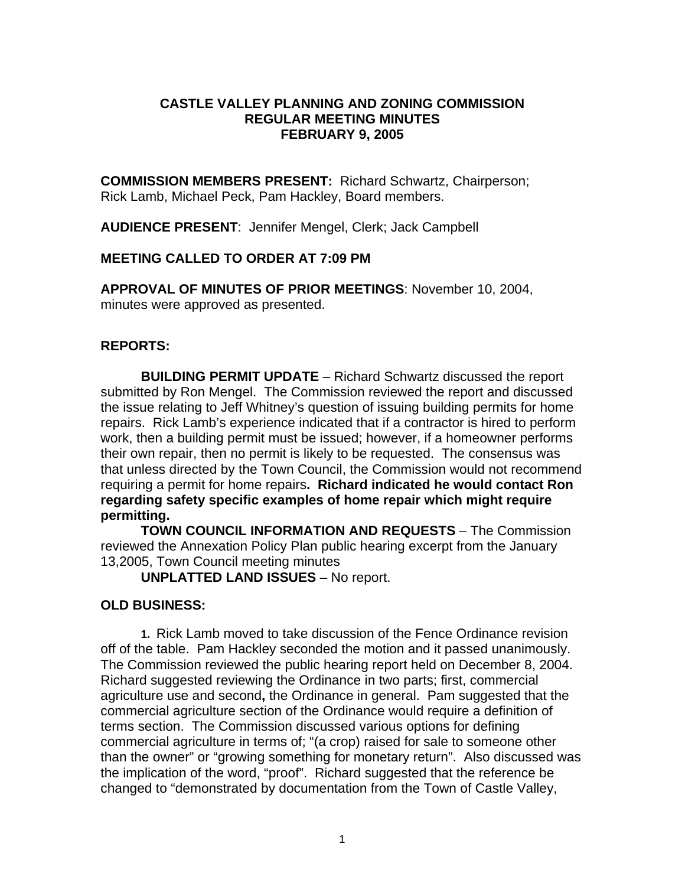### **CASTLE VALLEY PLANNING AND ZONING COMMISSION REGULAR MEETING MINUTES FEBRUARY 9, 2005**

**COMMISSION MEMBERS PRESENT:** Richard Schwartz, Chairperson; Rick Lamb, Michael Peck, Pam Hackley, Board members.

**AUDIENCE PRESENT**: Jennifer Mengel, Clerk; Jack Campbell

## **MEETING CALLED TO ORDER AT 7:09 PM**

**APPROVAL OF MINUTES OF PRIOR MEETINGS**: November 10, 2004, minutes were approved as presented.

# **REPORTS:**

**BUILDING PERMIT UPDATE** – Richard Schwartz discussed the report submitted by Ron Mengel. The Commission reviewed the report and discussed the issue relating to Jeff Whitney's question of issuing building permits for home repairs. Rick Lamb's experience indicated that if a contractor is hired to perform work, then a building permit must be issued; however, if a homeowner performs their own repair, then no permit is likely to be requested. The consensus was that unless directed by the Town Council, the Commission would not recommend requiring a permit for home repairs**. Richard indicated he would contact Ron regarding safety specific examples of home repair which might require permitting.** 

**TOWN COUNCIL INFORMATION AND REQUESTS** – The Commission reviewed the Annexation Policy Plan public hearing excerpt from the January 13,2005, Town Council meeting minutes

**UNPLATTED LAND ISSUES** – No report.

# **OLD BUSINESS:**

**1.** Rick Lamb moved to take discussion of the Fence Ordinance revision off of the table. Pam Hackley seconded the motion and it passed unanimously. The Commission reviewed the public hearing report held on December 8, 2004. Richard suggested reviewing the Ordinance in two parts; first, commercial agriculture use and second**,** the Ordinance in general. Pam suggested that the commercial agriculture section of the Ordinance would require a definition of terms section. The Commission discussed various options for defining commercial agriculture in terms of; "(a crop) raised for sale to someone other than the owner" or "growing something for monetary return". Also discussed was the implication of the word, "proof". Richard suggested that the reference be changed to "demonstrated by documentation from the Town of Castle Valley,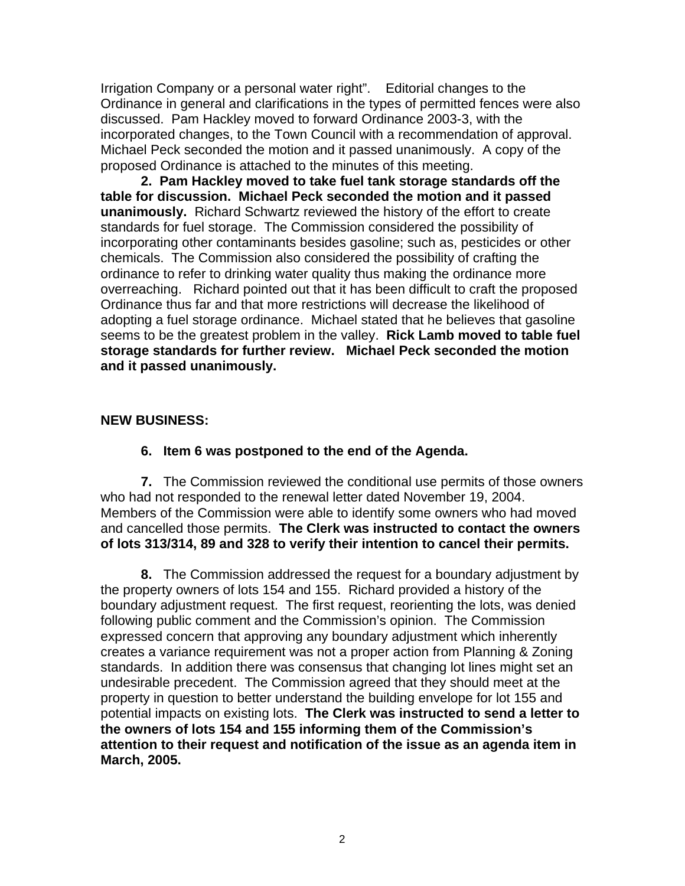Irrigation Company or a personal water right". Editorial changes to the Ordinance in general and clarifications in the types of permitted fences were also discussed. Pam Hackley moved to forward Ordinance 2003-3, with the incorporated changes, to the Town Council with a recommendation of approval. Michael Peck seconded the motion and it passed unanimously. A copy of the proposed Ordinance is attached to the minutes of this meeting.

 **2. Pam Hackley moved to take fuel tank storage standards off the table for discussion. Michael Peck seconded the motion and it passed unanimously.** Richard Schwartz reviewed the history of the effort to create standards for fuel storage. The Commission considered the possibility of incorporating other contaminants besides gasoline; such as, pesticides or other chemicals. The Commission also considered the possibility of crafting the ordinance to refer to drinking water quality thus making the ordinance more overreaching. Richard pointed out that it has been difficult to craft the proposed Ordinance thus far and that more restrictions will decrease the likelihood of adopting a fuel storage ordinance. Michael stated that he believes that gasoline seems to be the greatest problem in the valley. **Rick Lamb moved to table fuel storage standards for further review. Michael Peck seconded the motion and it passed unanimously.** 

## **NEW BUSINESS:**

 **6. Item 6 was postponed to the end of the Agenda.** 

 **7.** The Commission reviewed the conditional use permits of those owners who had not responded to the renewal letter dated November 19, 2004. Members of the Commission were able to identify some owners who had moved and cancelled those permits. **The Clerk was instructed to contact the owners of lots 313/314, 89 and 328 to verify their intention to cancel their permits.** 

 **8.** The Commission addressed the request for a boundary adjustment by the property owners of lots 154 and 155. Richard provided a history of the boundary adjustment request. The first request, reorienting the lots, was denied following public comment and the Commission's opinion. The Commission expressed concern that approving any boundary adjustment which inherently creates a variance requirement was not a proper action from Planning & Zoning standards. In addition there was consensus that changing lot lines might set an undesirable precedent. The Commission agreed that they should meet at the property in question to better understand the building envelope for lot 155 and potential impacts on existing lots. **The Clerk was instructed to send a letter to the owners of lots 154 and 155 informing them of the Commission's attention to their request and notification of the issue as an agenda item in March, 2005.**